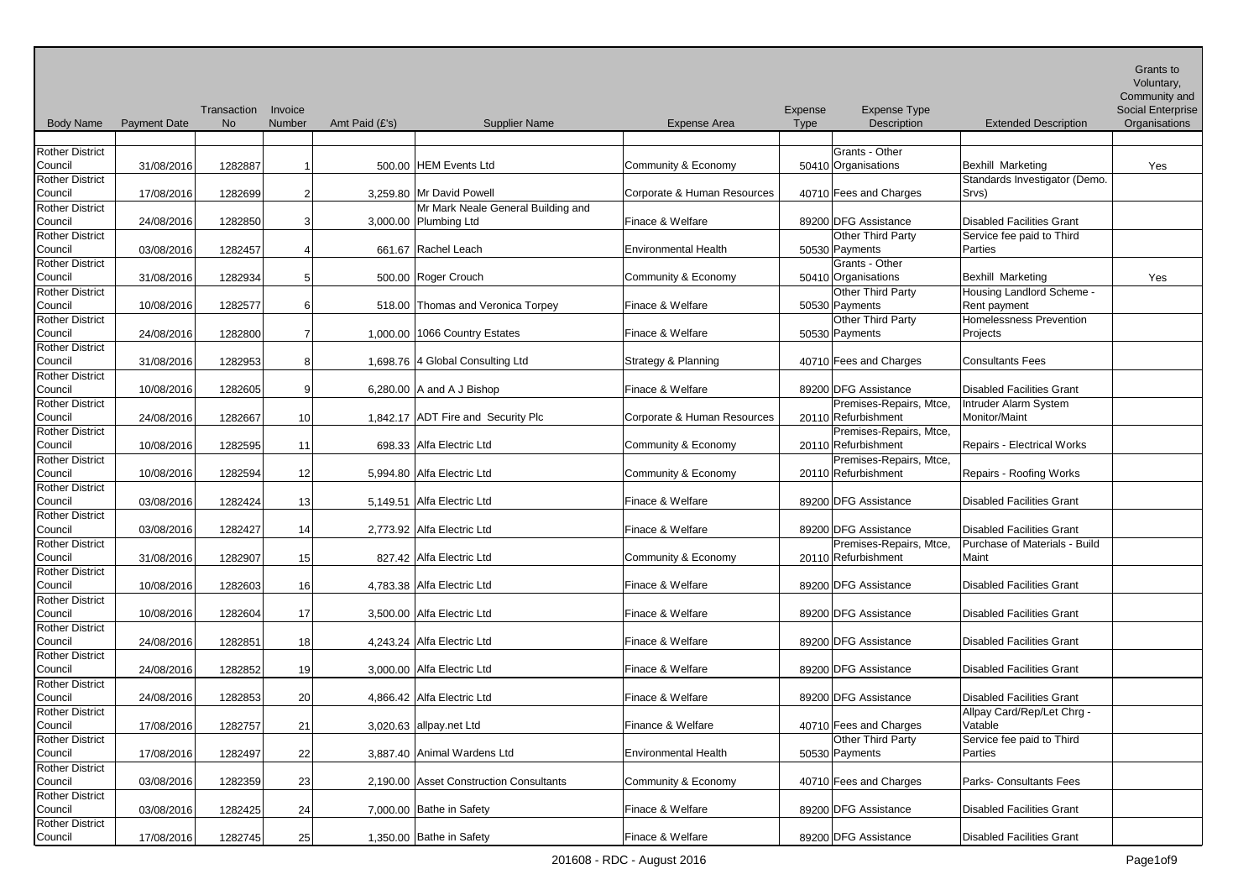| <b>Body Name</b>                  | <b>Payment Date</b> | Transaction<br><b>No</b> | Invoice<br>Number | Amt Paid (£'s) | <b>Supplier Name</b>                          | <b>Expense Area</b>         | Expense<br><b>Type</b> | <b>Expense Type</b><br>Description    | <b>Extended Description</b>       | Grants to<br>Voluntary,<br>Community and<br><b>Social Enterprise</b><br>Organisations |
|-----------------------------------|---------------------|--------------------------|-------------------|----------------|-----------------------------------------------|-----------------------------|------------------------|---------------------------------------|-----------------------------------|---------------------------------------------------------------------------------------|
|                                   |                     |                          |                   |                |                                               |                             |                        |                                       |                                   |                                                                                       |
| <b>Rother District</b><br>Council | 31/08/2016          | 1282887                  |                   |                | 500.00 HEM Events Ltd                         | Community & Economy         |                        | Grants - Other<br>50410 Organisations | <b>Bexhill Marketing</b>          | Yes                                                                                   |
| <b>Rother District</b>            |                     |                          |                   |                |                                               |                             |                        |                                       | Standards Investigator (Demo.     |                                                                                       |
| Council                           | 17/08/2016          | 1282699                  | 2                 |                | 3,259.80 Mr David Powell                      | Corporate & Human Resources |                        | 40710 Fees and Charges                | Srvs)                             |                                                                                       |
| <b>Rother District</b>            |                     |                          |                   |                | Mr Mark Neale General Building and            |                             |                        |                                       |                                   |                                                                                       |
| Council                           | 24/08/2016          | 1282850                  | 3                 |                | 3,000.00 Plumbing Ltd                         | Finace & Welfare            |                        | 89200 DFG Assistance                  | <b>Disabled Facilities Grant</b>  |                                                                                       |
| <b>Rother District</b>            |                     |                          |                   |                |                                               |                             |                        | Other Third Party                     | Service fee paid to Third         |                                                                                       |
| Council                           | 03/08/2016          | 1282457                  |                   |                | 661.67 Rachel Leach                           | <b>Environmental Health</b> |                        | 50530 Payments                        | <b>Parties</b>                    |                                                                                       |
| <b>Rother District</b>            |                     |                          |                   |                |                                               |                             |                        | Grants - Other                        |                                   |                                                                                       |
| Council                           | 31/08/2016          | 1282934                  | 5                 |                | 500.00 Roger Crouch                           | Community & Economy         |                        | 50410 Organisations                   | Bexhill Marketing                 | Yes                                                                                   |
| <b>Rother District</b>            |                     |                          |                   |                |                                               |                             |                        | <b>Other Third Party</b>              | Housing Landlord Scheme -         |                                                                                       |
| Council                           | 10/08/2016          | 1282577                  | 6                 |                | 518.00 Thomas and Veronica Torpey             | Finace & Welfare            |                        | 50530 Payments                        | Rent payment                      |                                                                                       |
| <b>Rother District</b>            |                     |                          |                   |                |                                               |                             |                        | Other Third Party                     | <b>Homelessness Prevention</b>    |                                                                                       |
| Council                           | 24/08/2016          | 1282800                  |                   |                | 1,000.00 1066 Country Estates                 | Finace & Welfare            |                        | 50530 Payments                        | Projects                          |                                                                                       |
| <b>Rother District</b>            |                     |                          |                   |                |                                               |                             |                        |                                       |                                   |                                                                                       |
| Council                           | 31/08/2016          | 1282953                  | 8                 |                | 1,698.76 4 Global Consulting Ltd              | Strategy & Planning         |                        | 40710 Fees and Charges                | <b>Consultants Fees</b>           |                                                                                       |
| <b>Rother District</b>            |                     |                          |                   |                |                                               |                             |                        |                                       |                                   |                                                                                       |
| Council                           | 10/08/2016          | 1282605                  | 9                 |                | 6,280.00 $ A \text{ and } A \text{ J Bishop}$ | Finace & Welfare            |                        | 89200 DFG Assistance                  | <b>Disabled Facilities Grant</b>  |                                                                                       |
| <b>Rother District</b>            |                     |                          |                   |                |                                               |                             |                        | Premises-Repairs, Mtce,               | Intruder Alarm System             |                                                                                       |
| Council                           | 24/08/2016          | 1282667                  | 10 <sup>1</sup>   |                | 1,842.17 ADT Fire and Security Plc            | Corporate & Human Resources |                        | 20110 Refurbishment                   | Monitor/Maint                     |                                                                                       |
| <b>Rother District</b>            |                     |                          |                   |                |                                               |                             |                        | Premises-Repairs, Mtce,               |                                   |                                                                                       |
| Council                           | 10/08/2016          | 1282595                  | 11                |                | 698.33 Alfa Electric Ltd                      | Community & Economy         |                        | 20110 Refurbishment                   | <b>Repairs - Electrical Works</b> |                                                                                       |
| <b>Rother District</b>            |                     |                          |                   |                |                                               |                             |                        | Premises-Repairs, Mtce,               |                                   |                                                                                       |
| Council                           | 10/08/2016          | 1282594                  | 12                |                | 5,994.80 Alfa Electric Ltd                    | Community & Economy         |                        | 20110 Refurbishment                   | <b>Repairs - Roofing Works</b>    |                                                                                       |
| <b>Rother District</b><br>Council | 03/08/2016          | 1282424                  | 13                |                | 5,149.51 Alfa Electric Ltd                    | Finace & Welfare            |                        | 89200 DFG Assistance                  | <b>Disabled Facilities Grant</b>  |                                                                                       |
| <b>Rother District</b>            |                     |                          |                   |                |                                               |                             |                        |                                       |                                   |                                                                                       |
| Council                           | 03/08/2016          | 1282427                  | 14                |                | 2,773.92 Alfa Electric Ltd                    | Finace & Welfare            |                        | 89200 DFG Assistance                  | <b>Disabled Facilities Grant</b>  |                                                                                       |
| <b>Rother District</b>            |                     |                          |                   |                |                                               |                             |                        | Premises-Repairs, Mtce,               | Purchase of Materials - Build     |                                                                                       |
| Council                           | 31/08/2016          | 1282907                  | 15                |                | 827.42 Alfa Electric Ltd                      | Community & Economy         |                        | 20110 Refurbishment                   | Maint                             |                                                                                       |
| <b>Rother District</b>            |                     |                          |                   |                |                                               |                             |                        |                                       |                                   |                                                                                       |
| Council                           | 10/08/2016          | 1282603                  | 16                |                | 4,783.38 Alfa Electric Ltd                    | Finace & Welfare            |                        | 89200 DFG Assistance                  | <b>Disabled Facilities Grant</b>  |                                                                                       |
| <b>Rother District</b>            |                     |                          |                   |                |                                               |                             |                        |                                       |                                   |                                                                                       |
| Council                           | 10/08/2016          | 1282604                  | 17 <sup>1</sup>   |                | 3,500.00 Alfa Electric Ltd                    | Finace & Welfare            |                        | 89200 DFG Assistance                  | <b>Disabled Facilities Grant</b>  |                                                                                       |
| <b>Rother District</b>            |                     |                          |                   |                |                                               |                             |                        |                                       |                                   |                                                                                       |
| Council                           | 24/08/2016          | 1282851                  | 18                |                | 4,243.24 Alfa Electric Ltd                    | Finace & Welfare            |                        | 89200 DFG Assistance                  | <b>Disabled Facilities Grant</b>  |                                                                                       |
| <b>Rother District</b>            |                     |                          |                   |                |                                               |                             |                        |                                       |                                   |                                                                                       |
| Council                           | 24/08/2016          | 1282852                  | 19                |                | 3,000.00 Alfa Electric Ltd                    | Finace & Welfare            |                        | 89200 DFG Assistance                  | <b>Disabled Facilities Grant</b>  |                                                                                       |
| <b>Rother District</b>            |                     |                          |                   |                |                                               |                             |                        |                                       |                                   |                                                                                       |
| Council                           | 24/08/2016          | 1282853                  | 20                |                | 4,866.42 Alfa Electric Ltd                    | Finace & Welfare            |                        | 89200 DFG Assistance                  | <b>Disabled Facilities Grant</b>  |                                                                                       |
| <b>Rother District</b>            |                     |                          |                   |                |                                               |                             |                        |                                       | Allpay Card/Rep/Let Chrg -        |                                                                                       |
| Council                           | 17/08/2016          | 1282757                  | 21                |                | 3,020.63 allpay.net Ltd                       | Finance & Welfare           |                        | 40710 Fees and Charges                | Vatable                           |                                                                                       |
| <b>Rother District</b>            |                     |                          |                   |                |                                               | <b>Environmental Health</b> |                        | Other Third Party                     | Service fee paid to Third         |                                                                                       |
| Council<br><b>Rother District</b> | 17/08/2016          | 1282497                  | 22                |                | 3,887.40 Animal Wardens Ltd                   |                             |                        | 50530 Payments                        | Parties                           |                                                                                       |
| Council                           | 03/08/2016          | 1282359                  | 23                |                | 2,190.00 Asset Construction Consultants       | Community & Economy         |                        | 40710 Fees and Charges                | Parks- Consultants Fees           |                                                                                       |
| <b>Rother District</b>            |                     |                          |                   |                |                                               |                             |                        |                                       |                                   |                                                                                       |
| Council                           | 03/08/2016          | 1282425                  | 24                |                | 7,000.00 Bathe in Safety                      | Finace & Welfare            |                        | 89200 DFG Assistance                  | <b>Disabled Facilities Grant</b>  |                                                                                       |
| <b>Rother District</b>            |                     |                          |                   |                |                                               |                             |                        |                                       |                                   |                                                                                       |
| Council                           | 17/08/2016          | 1282745                  | 25                |                | 1,350.00 Bathe in Safety                      | Finace & Welfare            |                        | 89200 DFG Assistance                  | <b>Disabled Facilities Grant</b>  |                                                                                       |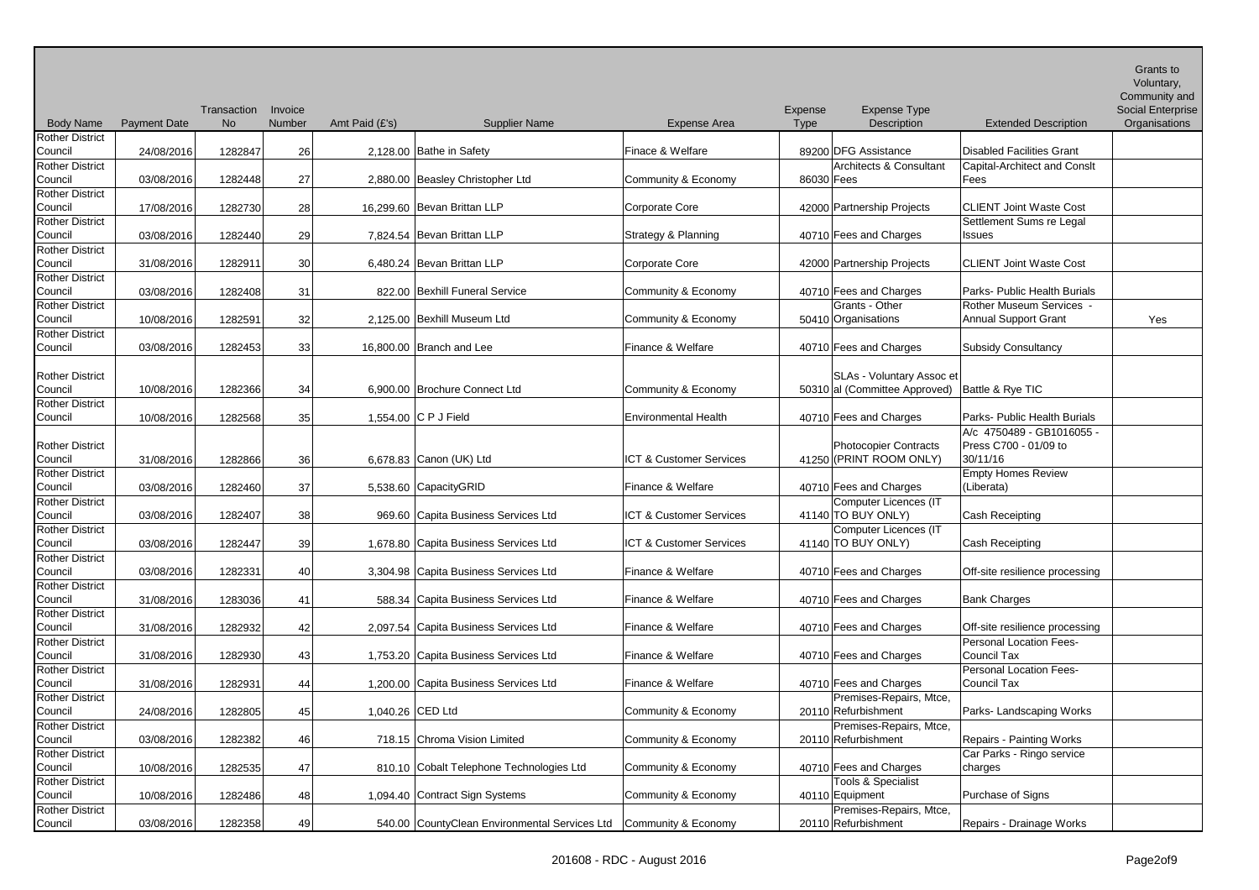| <b>Body Name</b>                  | <b>Payment Date</b> | Transaction<br><b>No</b> | Invoice<br>Number | Amt Paid (£'s)   | <b>Supplier Name</b>                          | <b>Expense Area</b>         | Expense<br>Type | <b>Expense Type</b><br>Description                                | <b>Extended Description</b>                                    | Grants to<br>Voluntary,<br>Community and<br><b>Social Enterprise</b><br>Organisations |
|-----------------------------------|---------------------|--------------------------|-------------------|------------------|-----------------------------------------------|-----------------------------|-----------------|-------------------------------------------------------------------|----------------------------------------------------------------|---------------------------------------------------------------------------------------|
| <b>Rother District</b><br>Council | 24/08/2016          | 1282847                  | 26                |                  | 2,128.00 Bathe in Safety                      | Finace & Welfare            |                 | 89200 DFG Assistance                                              | <b>Disabled Facilities Grant</b>                               |                                                                                       |
| <b>Rother District</b><br>Council | 03/08/2016          | 1282448                  | 27                |                  | 2,880.00 Beasley Christopher Ltd              | Community & Economy         | 86030 Fees      | Architects & Consultant                                           | <b>Capital-Architect and Consit</b><br>Fees                    |                                                                                       |
| <b>Rother District</b><br>Council | 17/08/2016          | 1282730                  | 28                |                  | 16,299.60 Bevan Brittan LLP                   | Corporate Core              |                 | 42000 Partnership Projects                                        | <b>CLIENT Joint Waste Cost</b>                                 |                                                                                       |
| <b>Rother District</b><br>Council | 03/08/2016          | 1282440                  | 29                |                  | 7,824.54 Bevan Brittan LLP                    | Strategy & Planning         |                 | 40710 Fees and Charges                                            | Settlement Sums re Legal<br><b>Issues</b>                      |                                                                                       |
| <b>Rother District</b><br>Council | 31/08/2016          | 1282911                  | 30                |                  | 6,480.24 Bevan Brittan LLP                    | Corporate Core              |                 | 42000 Partnership Projects                                        | <b>CLIENT Joint Waste Cost</b>                                 |                                                                                       |
| <b>Rother District</b><br>Council | 03/08/2016          | 1282408                  | 31                |                  | 822.00 Bexhill Funeral Service                | Community & Economy         |                 | 40710 Fees and Charges                                            | Parks- Public Health Burials                                   |                                                                                       |
| <b>Rother District</b><br>Council | 10/08/2016          | 1282591                  | 32                |                  | 2,125.00 Bexhill Museum Ltd                   | Community & Economy         |                 | Grants - Other<br>50410 Organisations                             | Rother Museum Services -<br><b>Annual Support Grant</b>        | Yes                                                                                   |
| <b>Rother District</b><br>Council | 03/08/2016          | 1282453                  | 33                |                  | 16,800.00 Branch and Lee                      | Finance & Welfare           |                 | 40710 Fees and Charges                                            | <b>Subsidy Consultancy</b>                                     |                                                                                       |
| <b>Rother District</b><br>Council | 10/08/2016          | 1282366                  | 34                |                  | 6,900.00 Brochure Connect Ltd                 | Community & Economy         |                 | <b>SLAs - Voluntary Assoc et</b><br>50310 al (Committee Approved) | Battle & Rye TIC                                               |                                                                                       |
| <b>Rother District</b><br>Council | 10/08/2016          | 1282568                  | 35                |                  | 1,554.00 C P J Field                          | <b>Environmental Health</b> |                 | 40710 Fees and Charges                                            | Parks- Public Health Burials                                   |                                                                                       |
| <b>Rother District</b><br>Council | 31/08/2016          | 1282866                  | 36 <sup>2</sup>   |                  | 6,678.83 Canon (UK) Ltd                       | ICT & Customer Services     |                 | Photocopier Contracts<br>41250 (PRINT ROOM ONLY)                  | A/c 4750489 - GB1016055 -<br>Press C700 - 01/09 to<br>30/11/16 |                                                                                       |
| <b>Rother District</b><br>Council | 03/08/2016          | 1282460                  | 37                |                  | 5,538.60 CapacityGRID                         | Finance & Welfare           |                 | 40710 Fees and Charges                                            | <b>Empty Homes Review</b><br>(Liberata)                        |                                                                                       |
| <b>Rother District</b><br>Council | 03/08/2016          | 1282407                  | 38                |                  | 969.60 Capita Business Services Ltd           | ICT & Customer Services     |                 | Computer Licences (IT<br>41140 TO BUY ONLY)                       | Cash Receipting                                                |                                                                                       |
| <b>Rother District</b><br>Council | 03/08/2016          | 1282447                  | 39                |                  | 1,678.80 Capita Business Services Ltd         | ICT & Customer Services     |                 | Computer Licences (IT<br>41140 TO BUY ONLY)                       | Cash Receipting                                                |                                                                                       |
| <b>Rother District</b><br>Council | 03/08/2016          | 1282331                  | 40                |                  | 3,304.98 Capita Business Services Ltd         | Finance & Welfare           |                 | 40710 Fees and Charges                                            | Off-site resilience processing                                 |                                                                                       |
| <b>Rother District</b><br>Council | 31/08/2016          | 1283036                  | 41                |                  | 588.34 Capita Business Services Ltd           | Finance & Welfare           |                 | 40710 Fees and Charges                                            | <b>Bank Charges</b>                                            |                                                                                       |
| <b>Rother District</b><br>Council | 31/08/2016          | 1282932                  | 42                |                  | 2,097.54 Capita Business Services Ltd         | Finance & Welfare           |                 | 40710 Fees and Charges                                            | Off-site resilience processing                                 |                                                                                       |
| <b>Rother District</b><br>Council | 31/08/2016          | 1282930                  | 43                |                  | 1,753.20 Capita Business Services Ltd         | Finance & Welfare           |                 | 40710 Fees and Charges                                            | Personal Location Fees-<br>Council Tax                         |                                                                                       |
| <b>Rother District</b><br>Council | 31/08/2016          | 1282931                  | 44                |                  | 1,200.00 Capita Business Services Ltd         | Finance & Welfare           |                 | 40710 Fees and Charges                                            | Personal Location Fees-<br>Council Tax                         |                                                                                       |
| <b>Rother District</b><br>Council | 24/08/2016          | 1282805                  | 45                | 1,040.26 CED Ltd |                                               | Community & Economy         |                 | Premises-Repairs, Mtce,<br>20110 Refurbishment                    | Parks- Landscaping Works                                       |                                                                                       |
| <b>Rother District</b><br>Council | 03/08/2016          | 1282382                  | 46                |                  | 718.15 Chroma Vision Limited                  | Community & Economy         |                 | Premises-Repairs, Mtce,<br>20110 Refurbishment                    | Repairs - Painting Works                                       |                                                                                       |
| <b>Rother District</b><br>Council | 10/08/2016          | 1282535                  | 47                |                  | 810.10 Cobalt Telephone Technologies Ltd      | Community & Economy         |                 | 40710 Fees and Charges                                            | Car Parks - Ringo service<br>charges                           |                                                                                       |
| <b>Rother District</b><br>Council | 10/08/2016          | 1282486                  | 48                |                  | 1,094.40 Contract Sign Systems                | Community & Economy         |                 | Tools & Specialist<br>40110 Equipment                             | Purchase of Signs                                              |                                                                                       |
| <b>Rother District</b><br>Council | 03/08/2016          | 1282358                  | 49                |                  | 540.00 CountyClean Environmental Services Ltd | Community & Economy         |                 | Premises-Repairs, Mtce,<br>20110 Refurbishment                    | Repairs - Drainage Works                                       |                                                                                       |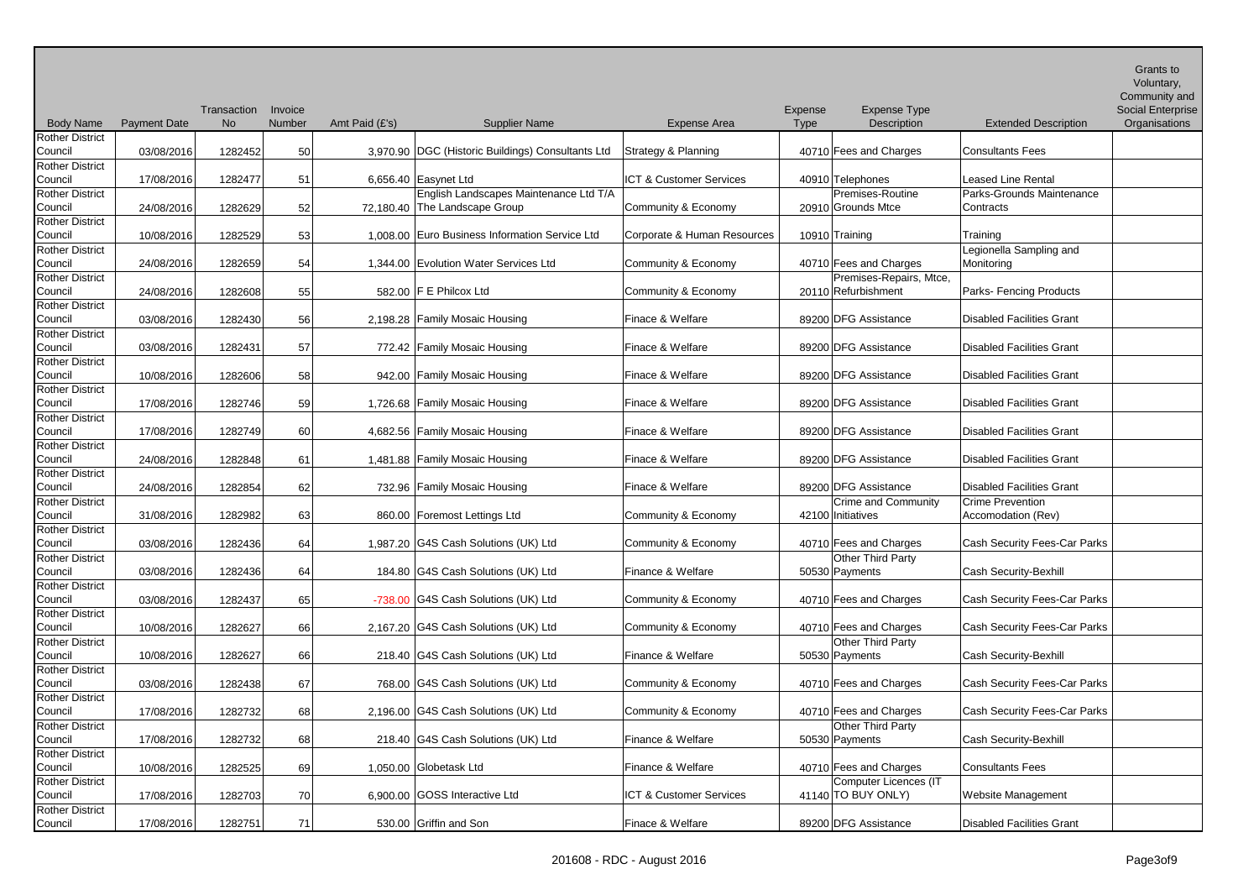|                                   |                     |             |         |                |                                                   |                             |                   |                                             |                                     | Grants to<br>Voluntary,  |
|-----------------------------------|---------------------|-------------|---------|----------------|---------------------------------------------------|-----------------------------|-------------------|---------------------------------------------|-------------------------------------|--------------------------|
|                                   |                     |             |         |                |                                                   |                             |                   |                                             |                                     | Community and            |
|                                   |                     | Transaction | Invoice |                |                                                   |                             | Expense           | <b>Expense Type</b>                         |                                     | <b>Social Enterprise</b> |
| <b>Body Name</b>                  | <b>Payment Date</b> | <b>No</b>   | Number  | Amt Paid (£'s) | <b>Supplier Name</b>                              | <b>Expense Area</b>         | <b>Type</b>       | Description                                 | <b>Extended Description</b>         | Organisations            |
| <b>Rother District</b><br>Council | 03/08/2016          | 1282452     | 50      |                | 3,970.90 DGC (Historic Buildings) Consultants Ltd | Strategy & Planning         |                   | 40710 Fees and Charges                      | Consultants Fees                    |                          |
| <b>Rother District</b><br>Council | 17/08/2016          | 1282477     | 51      |                | 6,656.40 Easynet Ltd                              | ICT & Customer Services     | 40910 Telephones  |                                             | Leased Line Rental                  |                          |
| <b>Rother District</b>            |                     |             |         |                | English Landscapes Maintenance Ltd T/A            |                             |                   | Premises-Routine                            | Parks-Grounds Maintenance           |                          |
| Council                           | 24/08/2016          | 1282629     | 52      |                | 72,180.40 The Landscape Group                     | Community & Economy         |                   | 20910 Grounds Mtce                          | Contracts                           |                          |
| <b>Rother District</b>            |                     |             |         |                |                                                   |                             |                   |                                             |                                     |                          |
| Council                           | 10/08/2016          | 1282529     | 53      |                | 1,008.00 Euro Business Information Service Ltd    | Corporate & Human Resources | 10910 Training    |                                             | Training                            |                          |
| <b>Rother District</b>            |                     |             |         |                |                                                   |                             |                   |                                             | Legionella Sampling and             |                          |
| Council                           | 24/08/2016          | 1282659     | 54      |                | 1,344.00 Evolution Water Services Ltd             | Community & Economy         |                   | 40710 Fees and Charges                      | Monitoring                          |                          |
| <b>Rother District</b>            |                     |             |         |                |                                                   |                             |                   | Premises-Repairs, Mtce,                     |                                     |                          |
| Council                           | 24/08/2016          | 1282608     | 55      |                | 582.00 F E Philcox Ltd                            | Community & Economy         |                   | 20110 Refurbishment                         | Parks- Fencing Products             |                          |
| <b>Rother District</b>            |                     |             |         |                |                                                   |                             |                   |                                             |                                     |                          |
| Council                           | 03/08/2016          | 1282430     | 56      |                | 2,198.28 Family Mosaic Housing                    | Finace & Welfare            |                   | 89200 DFG Assistance                        | <b>Disabled Facilities Grant</b>    |                          |
| Rother District                   |                     |             |         |                |                                                   |                             |                   |                                             | <b>Disabled Facilities Grant</b>    |                          |
| Council<br><b>Rother District</b> | 03/08/2016          | 1282431     | 57      |                | 772.42 Family Mosaic Housing                      | Finace & Welfare            |                   | 89200 DFG Assistance                        |                                     |                          |
| Council                           | 10/08/2016          | 1282606     | 58      |                | 942.00 Family Mosaic Housing                      | Finace & Welfare            |                   | 89200 DFG Assistance                        | <b>Disabled Facilities Grant</b>    |                          |
| <b>Rother District</b>            |                     |             |         |                |                                                   |                             |                   |                                             |                                     |                          |
| Council                           | 17/08/2016          | 1282746     | 59      |                | 1,726.68 Family Mosaic Housing                    | Finace & Welfare            |                   | 89200 DFG Assistance                        | <b>Disabled Facilities Grant</b>    |                          |
| <b>Rother District</b>            |                     |             |         |                |                                                   |                             |                   |                                             |                                     |                          |
| Council                           | 17/08/2016          | 1282749     | 60      |                | 4,682.56 Family Mosaic Housing                    | Finace & Welfare            |                   | 89200 DFG Assistance                        | <b>Disabled Facilities Grant</b>    |                          |
| <b>Rother District</b>            |                     |             |         |                |                                                   |                             |                   |                                             |                                     |                          |
| Council                           | 24/08/2016          | 1282848     | 61      |                | 1,481.88 Family Mosaic Housing                    | Finace & Welfare            |                   | 89200 DFG Assistance                        | <b>Disabled Facilities Grant</b>    |                          |
| <b>Rother District</b>            |                     |             |         |                |                                                   |                             |                   |                                             |                                     |                          |
| Council                           | 24/08/2016          | 1282854     | 62      |                | 732.96 Family Mosaic Housing                      | Finace & Welfare            |                   | 89200 DFG Assistance                        | <b>Disabled Facilities Grant</b>    |                          |
| <b>Rother District</b>            |                     |             |         |                |                                                   |                             |                   | <b>Crime and Community</b>                  | <b>Crime Prevention</b>             |                          |
| Council                           | 31/08/2016          | 1282982     | 63      |                | 860.00 Foremost Lettings Ltd                      | Community & Economy         | 42100 Initiatives |                                             | Accomodation (Rev)                  |                          |
| <b>Rother District</b>            |                     |             |         |                |                                                   |                             |                   |                                             |                                     |                          |
| Council                           | 03/08/2016          | 1282436     | 64      |                | 1,987.20 G4S Cash Solutions (UK) Ltd              | Community & Economy         |                   | 40710 Fees and Charges                      | Cash Security Fees-Car Parks        |                          |
| <b>Rother District</b>            |                     |             |         |                |                                                   |                             |                   | Other Third Party                           |                                     |                          |
| Council                           | 03/08/2016          | 1282436     | 64      |                | 184.80 G4S Cash Solutions (UK) Ltd                | Finance & Welfare           | 50530 Payments    |                                             | <b>Cash Security-Bexhill</b>        |                          |
| <b>Rother District</b>            |                     |             |         |                |                                                   |                             |                   |                                             |                                     |                          |
| Council                           | 03/08/2016          | 1282437     | 65      |                | -738.00 G4S Cash Solutions (UK) Ltd               | Community & Economy         |                   | 40710 Fees and Charges                      | Cash Security Fees-Car Parks        |                          |
| <b>Rother District</b>            |                     |             |         |                |                                                   |                             |                   |                                             | Cash Security Fees-Car Parks        |                          |
| Council                           | 10/08/2016          | 1282627     | 66      |                | 2,167.20 G4S Cash Solutions (UK) Ltd              | Community & Economy         |                   | 40710 Fees and Charges<br>Other Third Party |                                     |                          |
| <b>Rother District</b><br>Council | 10/08/2016          | 1282627     | 66      |                | 218.40 G4S Cash Solutions (UK) Ltd                | Finance & Welfare           | 50530 Payments    |                                             | Cash Security-Bexhill               |                          |
| <b>Rother District</b>            |                     |             |         |                |                                                   |                             |                   |                                             |                                     |                          |
| Council                           | 03/08/2016          | 1282438     | 67      |                | 768.00 G4S Cash Solutions (UK) Ltd                | Community & Economy         |                   | 40710 Fees and Charges                      | Cash Security Fees-Car Parks        |                          |
| <b>Rother District</b>            |                     |             |         |                |                                                   |                             |                   |                                             |                                     |                          |
| Council                           | 17/08/2016          | 1282732     | 68      |                | 2,196.00 G4S Cash Solutions (UK) Ltd              | Community & Economy         |                   | 40710 Fees and Charges                      | <b>Cash Security Fees-Car Parks</b> |                          |
| <b>Rother District</b>            |                     |             |         |                |                                                   |                             |                   | Other Third Party                           |                                     |                          |
| Council                           | 17/08/2016          | 1282732     | 68      |                | 218.40 G4S Cash Solutions (UK) Ltd                | Finance & Welfare           | 50530 Payments    |                                             | <b>Cash Security-Bexhill</b>        |                          |
| <b>Rother District</b>            |                     |             |         |                |                                                   |                             |                   |                                             |                                     |                          |
| Council                           | 10/08/2016          | 1282525     | 69      |                | 1,050.00 Globetask Ltd                            | Finance & Welfare           |                   | 40710 Fees and Charges                      | <b>Consultants Fees</b>             |                          |
| <b>Rother District</b>            |                     |             |         |                |                                                   |                             |                   | Computer Licences (IT                       |                                     |                          |
| Council                           | 17/08/2016          | 1282703     | 70      |                | 6,900.00 GOSS Interactive Ltd                     | ICT & Customer Services     |                   | 41140 TO BUY ONLY)                          | Website Management                  |                          |
| <b>Rother District</b>            |                     |             |         |                |                                                   |                             |                   |                                             |                                     |                          |
| Council                           | 17/08/2016          | 1282751     | 71      |                | 530.00 Griffin and Son                            | Finace & Welfare            |                   | 89200 DFG Assistance                        | <b>Disabled Facilities Grant</b>    |                          |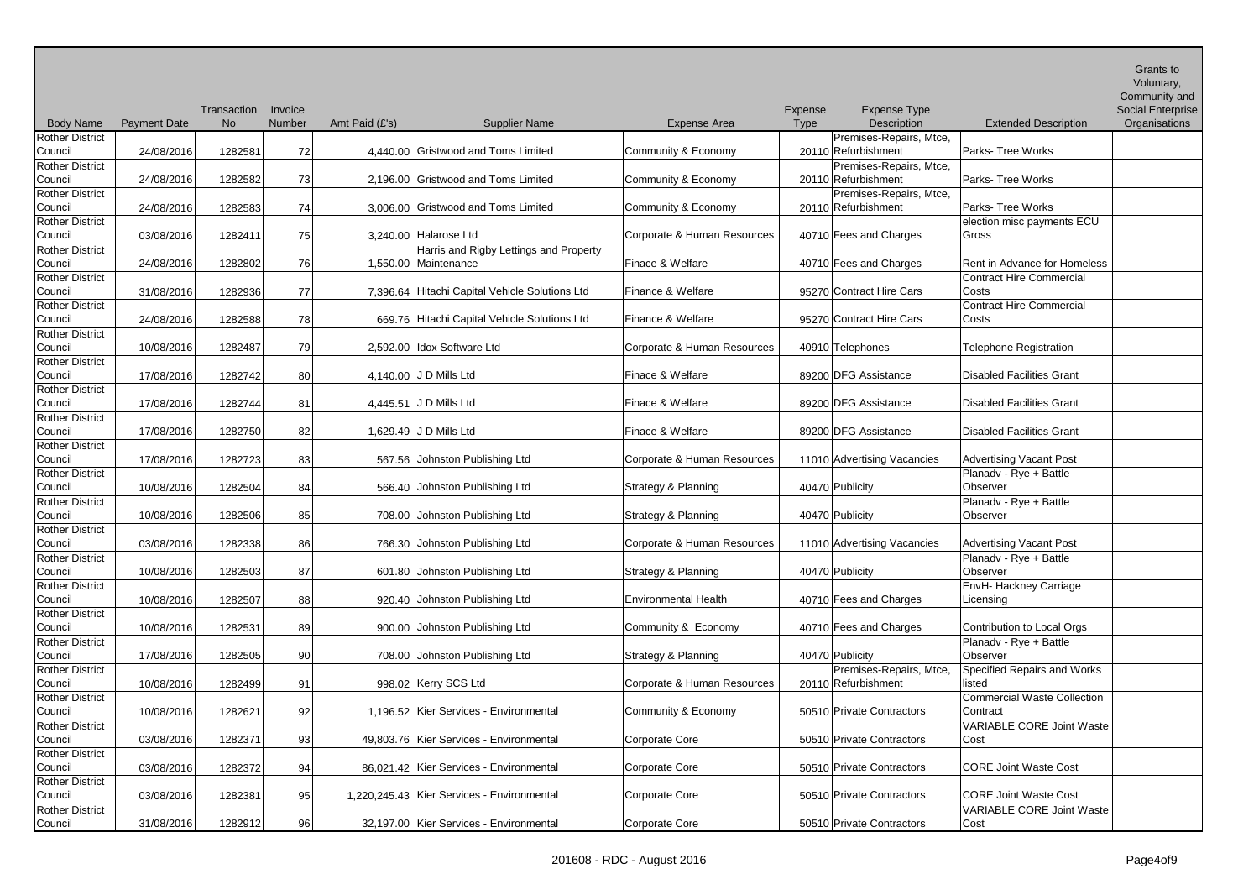| <b>Body Name</b>                  | <b>Payment Date</b> | Transaction<br><b>No</b> | Invoice<br>Number | Amt Paid (£'s) | <b>Supplier Name</b>                                           | <b>Expense Area</b>         | Expense<br>Type | <b>Expense Type</b><br>Description             | <b>Extended Description</b>              | Grants to<br>Voluntary,<br>Community and<br><b>Social Enterprise</b><br>Organisations |
|-----------------------------------|---------------------|--------------------------|-------------------|----------------|----------------------------------------------------------------|-----------------------------|-----------------|------------------------------------------------|------------------------------------------|---------------------------------------------------------------------------------------|
| <b>Rother District</b><br>Council | 24/08/2016          | 1282581                  | 72                |                | 4,440.00 Gristwood and Toms Limited                            | Community & Economy         |                 | Premises-Repairs, Mtce,<br>20110 Refurbishment | Parks- Tree Works                        |                                                                                       |
| <b>Rother District</b><br>Council | 24/08/2016          | 1282582                  | 73                |                | 2,196.00 Gristwood and Toms Limited                            | Community & Economy         |                 | Premises-Repairs, Mtce,<br>20110 Refurbishment | <b>Parks-Tree Works</b>                  |                                                                                       |
| <b>Rother District</b><br>Council | 24/08/2016          | 1282583                  | 74                |                | 3,006.00 Gristwood and Toms Limited                            | Community & Economy         |                 | Premises-Repairs, Mtce,<br>20110 Refurbishment | Parks-Tree Works                         |                                                                                       |
| <b>Rother District</b><br>Council | 03/08/2016          | 1282411                  | 75                |                | 3,240.00 Halarose Ltd                                          | Corporate & Human Resources |                 | 40710 Fees and Charges                         | election misc payments ECU<br>Gross      |                                                                                       |
| <b>Rother District</b><br>Council | 24/08/2016          | 1282802                  | 76                |                | Harris and Rigby Lettings and Property<br>1,550.00 Maintenance | Finace & Welfare            |                 | 40710 Fees and Charges                         | Rent in Advance for Homeless             |                                                                                       |
| <b>Rother District</b><br>Council | 31/08/2016          | 1282936                  | 77                |                | 7,396.64 Hitachi Capital Vehicle Solutions Ltd                 | Finance & Welfare           |                 | 95270 Contract Hire Cars                       | Contract Hire Commercial<br>Costs        |                                                                                       |
| <b>Rother District</b><br>Council | 24/08/2016          | 1282588                  | 78                |                | 669.76 Hitachi Capital Vehicle Solutions Ltd                   | Finance & Welfare           |                 | 95270 Contract Hire Cars                       | <b>Contract Hire Commercial</b><br>Costs |                                                                                       |
| <b>Rother District</b><br>Council | 10/08/2016          | 1282487                  | 79                |                | 2,592.00 Idox Software Ltd                                     | Corporate & Human Resources |                 | 40910 Telephones                               | <b>Telephone Registration</b>            |                                                                                       |
| <b>Rother District</b><br>Council | 17/08/2016          | 1282742                  | 80                |                | 4,140.00 J D Mills Ltd                                         | Finace & Welfare            |                 | 89200 DFG Assistance                           | <b>Disabled Facilities Grant</b>         |                                                                                       |
| <b>Rother District</b><br>Council | 17/08/2016          | 1282744                  | 81                |                | 4,445.51 J D Mills Ltd                                         | Finace & Welfare            |                 | 89200 DFG Assistance                           | <b>Disabled Facilities Grant</b>         |                                                                                       |
| <b>Rother District</b><br>Council | 17/08/2016          | 1282750                  | 82                |                | 1,629.49 J D Mills Ltd                                         | Finace & Welfare            |                 | 89200 DFG Assistance                           | <b>Disabled Facilities Grant</b>         |                                                                                       |
| <b>Rother District</b><br>Council | 17/08/2016          | 1282723                  | 83                |                | 567.56 Johnston Publishing Ltd                                 | Corporate & Human Resources |                 | 11010 Advertising Vacancies                    | <b>Advertising Vacant Post</b>           |                                                                                       |
| <b>Rother District</b><br>Council | 10/08/2016          | 1282504                  | 84                |                | 566.40 Johnston Publishing Ltd                                 | Strategy & Planning         |                 | 40470 Publicity                                | Planadv - Rye + Battle<br>Observer       |                                                                                       |
| <b>Rother District</b><br>Council | 10/08/2016          | 1282506                  | 85                |                | 708.00 Johnston Publishing Ltd                                 | Strategy & Planning         |                 | 40470 Publicity                                | Planadv - Rye + Battle<br>Observer       |                                                                                       |
| <b>Rother District</b><br>Council | 03/08/2016          | 1282338                  | 86                |                | 766.30 Johnston Publishing Ltd                                 | Corporate & Human Resources |                 | 11010 Advertising Vacancies                    | <b>Advertising Vacant Post</b>           |                                                                                       |
| <b>Rother District</b><br>Council | 10/08/2016          | 1282503                  | 87                |                | 601.80 Johnston Publishing Ltd                                 | Strategy & Planning         |                 | 40470 Publicity                                | Planadv - Rye + Battle<br>Observer       |                                                                                       |
| <b>Rother District</b><br>Council | 10/08/2016          | 1282507                  | 88                |                | 920.40 Johnston Publishing Ltd                                 | <b>Environmental Health</b> |                 | 40710 Fees and Charges                         | EnvH- Hackney Carriage<br>Licensing      |                                                                                       |
| <b>Rother District</b><br>Council | 10/08/2016          | 1282531                  | 89                |                | 900.00 Johnston Publishing Ltd                                 | Community & Economy         |                 | 40710 Fees and Charges                         | Contribution to Local Orgs               |                                                                                       |
| <b>Rother District</b><br>Council | 17/08/2016          | 1282505                  | 90                |                | 708.00 Johnston Publishing Ltd                                 | Strategy & Planning         |                 | 40470 Publicity                                | Planadv - Rye + Battle<br>Observer       |                                                                                       |
| <b>Rother District</b><br>Council | 10/08/2016          | 1282499                  | 91                |                | 998.02 Kerry SCS Ltd                                           | Corporate & Human Resources |                 | Premises-Repairs, Mtce,<br>20110 Refurbishment | Specified Repairs and Works<br>listed    |                                                                                       |
| <b>Rother District</b><br>Council | 10/08/2016          | 1282621                  | 92                |                | 1,196.52 Kier Services - Environmental                         | Community & Economy         |                 | 50510 Private Contractors                      | Commercial Waste Collection<br>Contract  |                                                                                       |
| Rother District<br>Council        | 03/08/2016          | 1282371                  | 93                |                | 49,803.76   Kier Services - Environmental                      | Corporate Core              |                 | 50510 Private Contractors                      | <b>VARIABLE CORE Joint Waste</b><br>Cost |                                                                                       |
| <b>Rother District</b><br>Council | 03/08/2016          | 1282372                  | 94                |                | 86,021.42   Kier Services - Environmental                      | Corporate Core              |                 | 50510 Private Contractors                      | <b>CORE Joint Waste Cost</b>             |                                                                                       |
| <b>Rother District</b><br>Council | 03/08/2016          | 1282381                  | 95                |                | 1,220,245.43   Kier Services - Environmental                   | Corporate Core              |                 | 50510 Private Contractors                      | <b>CORE Joint Waste Cost</b>             |                                                                                       |
| <b>Rother District</b><br>Council | 31/08/2016          | 1282912                  | 96                |                | 32,197.00 Kier Services - Environmental                        | Corporate Core              |                 | 50510 Private Contractors                      | <b>VARIABLE CORE Joint Waste</b><br>Cost |                                                                                       |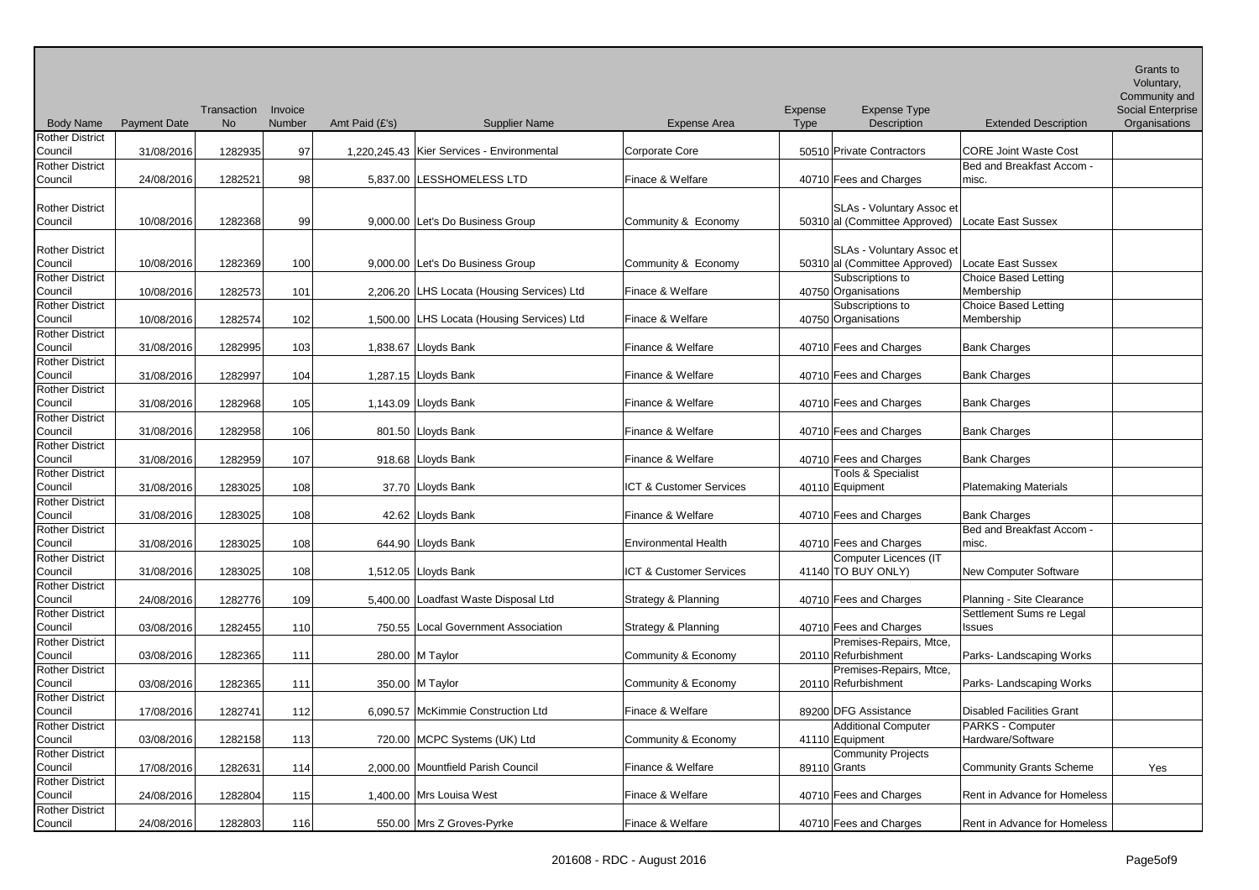| <b>Body Name</b>                                                       | <b>Payment Date</b> | Transaction<br><b>No</b> | Invoice<br>Number | Amt Paid (£'s) | <b>Supplier Name</b>                         | <b>Expense Area</b>                     | Expense<br><b>Type</b> | <b>Expense Type</b><br>Description                                                                           | <b>Extended Description</b>                                     | Grants to<br>Voluntary,<br>Community and<br>Social Enterprise<br>Organisations |
|------------------------------------------------------------------------|---------------------|--------------------------|-------------------|----------------|----------------------------------------------|-----------------------------------------|------------------------|--------------------------------------------------------------------------------------------------------------|-----------------------------------------------------------------|--------------------------------------------------------------------------------|
| <b>Rother District</b>                                                 |                     |                          |                   |                |                                              |                                         |                        |                                                                                                              |                                                                 |                                                                                |
| Council                                                                | 31/08/2016          | 1282935                  | 97                |                | 1,220,245.43   Kier Services - Environmental | <b>Corporate Core</b>                   |                        | 50510 Private Contractors                                                                                    | <b>CORE Joint Waste Cost</b>                                    |                                                                                |
| <b>Rother District</b>                                                 |                     |                          |                   |                |                                              |                                         |                        |                                                                                                              | Bed and Breakfast Accom -                                       |                                                                                |
| Council                                                                | 24/08/2016          | 1282521                  | 98                |                | 5,837.00 LESSHOMELESS LTD                    | Finace & Welfare                        |                        | 40710 Fees and Charges                                                                                       | misc.                                                           |                                                                                |
| <b>Rother District</b><br>Council                                      | 10/08/2016          | 1282368                  | -99               |                | 9,000.00 Let's Do Business Group             | Community & Economy                     |                        | SLAs - Voluntary Assoc et<br>50310 al (Committee Approved)                                                   | Locate East Sussex                                              |                                                                                |
| <b>Rother District</b><br>Council<br><b>Rother District</b><br>Council | 10/08/2016          | 1282369                  | 100               |                | 9,000.00 Let's Do Business Group             | Community & Economy<br>Finace & Welfare |                        | <b>SLAs - Voluntary Assoc et</b><br>50310 al (Committee Approved)<br>Subscriptions to<br>40750 Organisations | Locate East Sussex<br><b>Choice Based Letting</b><br>Membership |                                                                                |
|                                                                        | 10/08/2016          | 1282573                  | 101               |                | 2,206.20 LHS Locata (Housing Services) Ltd   |                                         |                        |                                                                                                              |                                                                 |                                                                                |
| <b>Rother District</b><br>Council                                      | 10/08/2016          | 1282574                  | 102               |                | 1,500.00 LHS Locata (Housing Services) Ltd   | Finace & Welfare                        |                        | Subscriptions to<br>40750 Organisations                                                                      | Choice Based Letting<br>Membership                              |                                                                                |
| <b>Rother District</b>                                                 |                     |                          |                   |                |                                              |                                         |                        |                                                                                                              |                                                                 |                                                                                |
| Council                                                                | 31/08/2016          | 1282995                  | 103               |                | 1,838.67 Lloyds Bank                         | Finance & Welfare                       |                        | 40710 Fees and Charges                                                                                       | <b>Bank Charges</b>                                             |                                                                                |
| <b>Rother District</b>                                                 |                     |                          |                   |                |                                              |                                         |                        |                                                                                                              |                                                                 |                                                                                |
| Council                                                                | 31/08/2016          | 1282997                  | 104               |                | 1,287.15 Lloyds Bank                         | Finance & Welfare                       |                        | 40710 Fees and Charges                                                                                       | <b>Bank Charges</b>                                             |                                                                                |
| <b>Rother District</b>                                                 |                     |                          |                   |                |                                              |                                         |                        |                                                                                                              |                                                                 |                                                                                |
| Council                                                                | 31/08/2016          | 1282968                  | 105               |                | 1,143.09 Lloyds Bank                         | Finance & Welfare                       |                        | 40710 Fees and Charges                                                                                       | <b>Bank Charges</b>                                             |                                                                                |
| <b>Rother District</b>                                                 |                     |                          |                   |                |                                              |                                         |                        |                                                                                                              |                                                                 |                                                                                |
| Council                                                                | 31/08/2016          | 1282958                  | 106               |                | 801.50 Lloyds Bank                           | Finance & Welfare                       |                        | 40710 Fees and Charges                                                                                       | <b>Bank Charges</b>                                             |                                                                                |
| <b>Rother District</b><br>Council                                      | 31/08/2016          | 1282959                  | 107               |                | 918.68 Lloyds Bank                           | Finance & Welfare                       |                        | 40710 Fees and Charges                                                                                       | <b>Bank Charges</b>                                             |                                                                                |
| <b>Rother District</b>                                                 |                     |                          |                   |                |                                              |                                         |                        | <b>Tools &amp; Specialist</b>                                                                                |                                                                 |                                                                                |
| Council                                                                | 31/08/2016          | 1283025                  | 108               |                | 37.70 Lloyds Bank                            | ICT & Customer Services                 |                        | 40110 Equipment                                                                                              | <b>Platemaking Materials</b>                                    |                                                                                |
| <b>Rother District</b>                                                 |                     |                          |                   |                |                                              |                                         |                        |                                                                                                              |                                                                 |                                                                                |
| Council                                                                | 31/08/2016          | 1283025                  | 108               |                | 42.62 Lloyds Bank                            | Finance & Welfare                       |                        | 40710 Fees and Charges                                                                                       | <b>Bank Charges</b>                                             |                                                                                |
| <b>Rother District</b>                                                 |                     |                          |                   |                |                                              |                                         |                        |                                                                                                              | Bed and Breakfast Accom -                                       |                                                                                |
| Council                                                                | 31/08/2016          | 1283025                  | 108               |                | 644.90 Lloyds Bank                           | <b>Environmental Health</b>             |                        | 40710 Fees and Charges                                                                                       | misc.                                                           |                                                                                |
| <b>Rother District</b>                                                 |                     |                          |                   |                |                                              | ICT & Customer Services                 |                        | Computer Licences (IT                                                                                        |                                                                 |                                                                                |
| Council<br><b>Rother District</b>                                      | 31/08/2016          | 1283025                  | 108               |                | 1,512.05 Lloyds Bank                         |                                         |                        | 41140 TO BUY ONLY)                                                                                           | <b>New Computer Software</b>                                    |                                                                                |
| Council                                                                | 24/08/2016          | 1282776                  | 109               |                | 5,400.00 Loadfast Waste Disposal Ltd         | Strategy & Planning                     |                        | 40710 Fees and Charges                                                                                       | Planning - Site Clearance                                       |                                                                                |
| <b>Rother District</b>                                                 |                     |                          |                   |                |                                              |                                         |                        |                                                                                                              | Settlement Sums re Legal                                        |                                                                                |
| Council                                                                | 03/08/2016          | 1282455                  | 110               |                | 750.55 Local Government Association          | Strategy & Planning                     |                        | 40710 Fees and Charges                                                                                       | Issues                                                          |                                                                                |
| <b>Rother District</b><br>Council                                      | 03/08/2016          | 1282365                  | 111               |                | 280.00 M Taylor                              | Community & Economy                     |                        | Premises-Repairs, Mtce,<br>20110 Refurbishment                                                               | Parks- Landscaping Works                                        |                                                                                |
| <b>Rother District</b>                                                 |                     |                          |                   |                |                                              |                                         |                        | Premises-Repairs, Mtce,                                                                                      |                                                                 |                                                                                |
| Council                                                                | 03/08/2016          | 1282365                  | 111               |                | 350.00 M Taylor                              | Community & Economy                     |                        | 20110 Refurbishment                                                                                          | Parks- Landscaping Works                                        |                                                                                |
| <b>Rother District</b>                                                 |                     |                          |                   |                |                                              |                                         |                        |                                                                                                              |                                                                 |                                                                                |
| Council                                                                | 17/08/2016          | 1282741                  | 112               |                | 6,090.57 McKimmie Construction Ltd           | Finace & Welfare                        |                        | 89200 DFG Assistance                                                                                         | <b>Disabled Facilities Grant</b>                                |                                                                                |
| <b>Rother District</b>                                                 |                     |                          |                   |                |                                              | Community & Economy                     |                        | Additional Computer                                                                                          | PARKS - Computer<br>Hardware/Software                           |                                                                                |
| Council<br><b>Rother District</b>                                      | 03/08/2016          | 1282158                  | 113               |                | 720.00 MCPC Systems (UK) Ltd                 |                                         |                        | 41110 Equipment<br>Community Projects                                                                        |                                                                 |                                                                                |
| Council                                                                | 17/08/2016          | 1282631                  | 114               |                | 2,000.00 Mountfield Parish Council           | Finance & Welfare                       |                        | 89110 Grants                                                                                                 | Community Grants Scheme                                         | Yes                                                                            |
| <b>Rother District</b>                                                 |                     |                          |                   |                |                                              |                                         |                        |                                                                                                              |                                                                 |                                                                                |
| Council                                                                | 24/08/2016          | 1282804                  | 115               |                | 1,400.00 Mrs Louisa West                     | Finace & Welfare                        |                        | 40710 Fees and Charges                                                                                       | Rent in Advance for Homeless                                    |                                                                                |
| <b>Rother District</b>                                                 |                     |                          |                   |                |                                              |                                         |                        |                                                                                                              |                                                                 |                                                                                |
| Council                                                                | 24/08/2016          | 1282803                  | 116               |                | 550.00 Mrs Z Groves-Pyrke                    | Finace & Welfare                        |                        | 40710 Fees and Charges                                                                                       | Rent in Advance for Homeless                                    |                                                                                |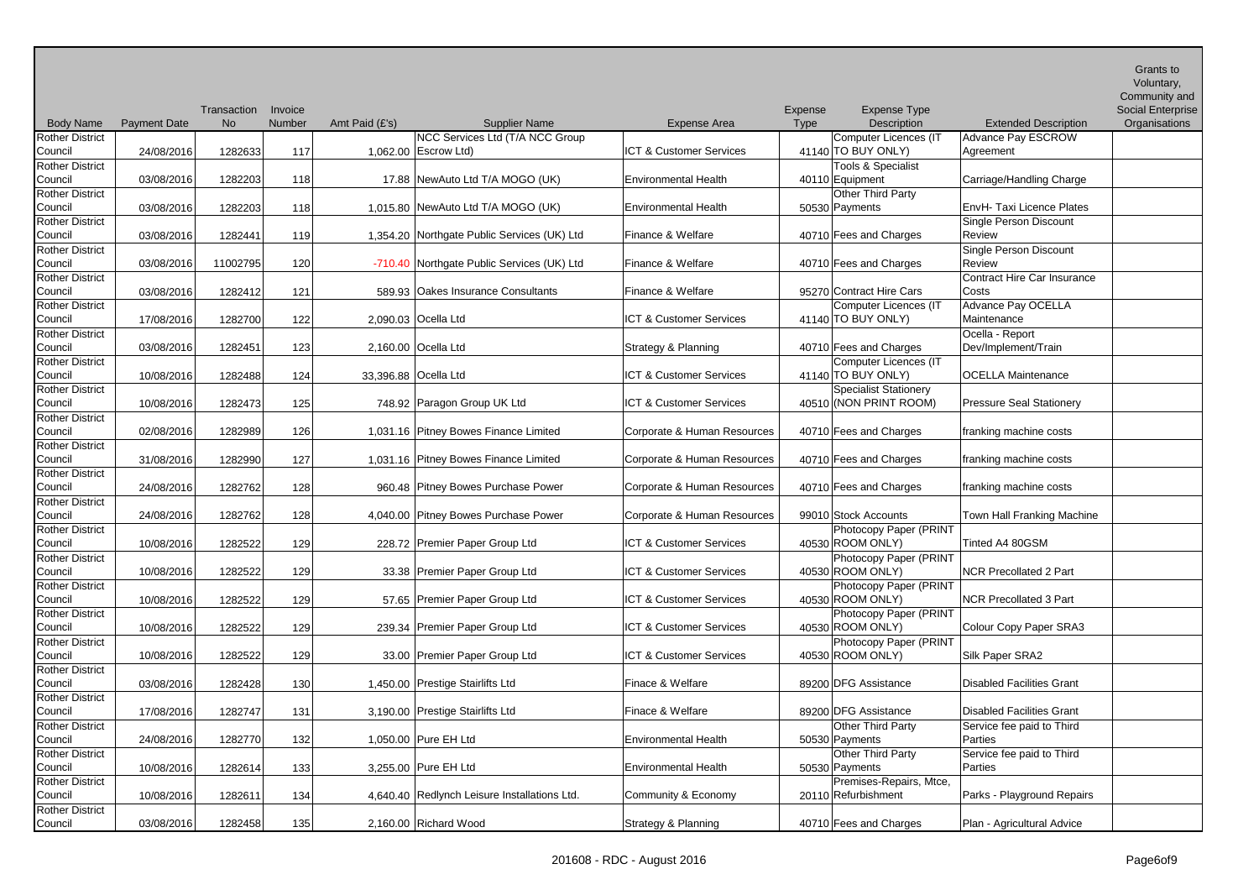|                                   |                     |             |         |                |                                                         |                             |             |                                             |                                        | <b>Grants to</b><br>Voluntary,<br>Community and |
|-----------------------------------|---------------------|-------------|---------|----------------|---------------------------------------------------------|-----------------------------|-------------|---------------------------------------------|----------------------------------------|-------------------------------------------------|
|                                   |                     | Transaction | Invoice |                |                                                         |                             | Expense     | <b>Expense Type</b>                         |                                        | Social Enterprise                               |
| <b>Body Name</b>                  | <b>Payment Date</b> | <b>No</b>   | Number  | Amt Paid (£'s) | <b>Supplier Name</b>                                    | <b>Expense Area</b>         | <b>Type</b> | Description                                 | <b>Extended Description</b>            | Organisations                                   |
| <b>Rother District</b><br>Council | 24/08/2016          | 1282633     | 117     |                | NCC Services Ltd (T/A NCC Group<br>1,062.00 Escrow Ltd) | ICT & Customer Services     |             | Computer Licences (IT<br>41140 TO BUY ONLY) | <b>Advance Pay ESCROW</b><br>Agreement |                                                 |
| <b>Rother District</b>            |                     |             |         |                |                                                         |                             |             | Tools & Specialist                          |                                        |                                                 |
| Council                           | 03/08/2016          | 1282203     | 118     |                | 17.88 NewAuto Ltd T/A MOGO (UK)                         | <b>Environmental Health</b> |             | 40110 Equipment                             | Carriage/Handling Charge               |                                                 |
| <b>Rother District</b>            |                     |             |         |                |                                                         |                             |             | Other Third Party                           |                                        |                                                 |
| Council                           | 03/08/2016          | 1282203     | 118     |                | 1,015.80 NewAuto Ltd T/A MOGO (UK)                      | <b>Environmental Health</b> |             | 50530 Payments                              | EnvH- Taxi Licence Plates              |                                                 |
| <b>Rother District</b>            |                     |             |         |                |                                                         |                             |             |                                             | Single Person Discount                 |                                                 |
| Council                           | 03/08/2016          | 1282441     | 119     |                | 1,354.20 Northgate Public Services (UK) Ltd             | Finance & Welfare           |             | 40710 Fees and Charges                      | Review                                 |                                                 |
| <b>Rother District</b>            |                     |             |         |                |                                                         |                             |             |                                             | Single Person Discount                 |                                                 |
| Council                           | 03/08/2016          | 11002795    | 120     |                | -710.40 Northgate Public Services (UK) Ltd              | Finance & Welfare           |             | 40710 Fees and Charges                      | Review                                 |                                                 |
| <b>Rother District</b>            |                     |             |         |                |                                                         |                             |             |                                             | Contract Hire Car Insurance            |                                                 |
| Council                           | 03/08/2016          | 1282412     | 121     |                | 589.93 Oakes Insurance Consultants                      | Finance & Welfare           |             | 95270 Contract Hire Cars                    | Costs                                  |                                                 |
| <b>Rother District</b>            |                     |             |         |                |                                                         |                             |             | Computer Licences (IT                       | Advance Pay OCELLA                     |                                                 |
| Council                           | 17/08/2016          | 1282700     | 122     |                | 2,090.03 Ocella Ltd                                     | ICT & Customer Services     |             | 41140 TO BUY ONLY)                          | Maintenance                            |                                                 |
| <b>Rother District</b>            |                     |             |         |                |                                                         |                             |             |                                             | Ocella - Report                        |                                                 |
| Council                           | 03/08/2016          | 1282451     | 123     |                | 2,160.00 Ocella Ltd                                     | Strategy & Planning         |             | 40710 Fees and Charges                      | Dev/Implement/Train                    |                                                 |
| <b>Rother District</b>            |                     |             |         |                |                                                         |                             |             | Computer Licences (IT                       |                                        |                                                 |
| Council                           | 10/08/2016          | 1282488     | 124     |                | 33,396.88 Ocella Ltd                                    | ICT & Customer Services     |             | $41140$ TO BUY ONLY)                        | <b>OCELLA Maintenance</b>              |                                                 |
| <b>Rother District</b>            |                     |             |         |                |                                                         |                             |             | <b>Specialist Stationery</b>                |                                        |                                                 |
| Council                           | 10/08/2016          | 1282473     | 125     |                | 748.92 Paragon Group UK Ltd                             | ICT & Customer Services     |             | 40510 (NON PRINT ROOM)                      | <b>Pressure Seal Stationery</b>        |                                                 |
| <b>Rother District</b>            |                     |             |         |                |                                                         |                             |             |                                             |                                        |                                                 |
| Council                           | 02/08/2016          | 1282989     | 126     |                | 1,031.16 Pitney Bowes Finance Limited                   | Corporate & Human Resources |             | 40710 Fees and Charges                      | franking machine costs                 |                                                 |
| <b>Rother District</b>            |                     |             |         |                |                                                         |                             |             |                                             |                                        |                                                 |
| Council                           | 31/08/2016          | 1282990     | 127     |                | 1,031.16 Pitney Bowes Finance Limited                   | Corporate & Human Resources |             | 40710 Fees and Charges                      | franking machine costs                 |                                                 |
| <b>Rother District</b>            |                     |             |         |                |                                                         |                             |             |                                             |                                        |                                                 |
| Council                           | 24/08/2016          | 1282762     | 128     |                | 960.48 Pitney Bowes Purchase Power                      | Corporate & Human Resources |             | 40710 Fees and Charges                      | franking machine costs                 |                                                 |
| <b>Rother District</b>            |                     |             |         |                |                                                         |                             |             |                                             |                                        |                                                 |
| Council                           | 24/08/2016          | 1282762     | 128     |                | 4,040.00 Pitney Bowes Purchase Power                    | Corporate & Human Resources |             | 99010 Stock Accounts                        | Town Hall Franking Machine             |                                                 |
| <b>Rother District</b>            |                     |             |         |                |                                                         |                             |             | Photocopy Paper (PRINT                      |                                        |                                                 |
| Council                           | 10/08/2016          | 1282522     | 129     |                | 228.72 Premier Paper Group Ltd                          | ICT & Customer Services     |             | 40530 ROOM ONLY)                            | Tinted A4 80GSM                        |                                                 |
| <b>Rother District</b>            |                     |             |         |                |                                                         |                             |             | Photocopy Paper (PRINT                      |                                        |                                                 |
| Council                           | 10/08/2016          | 1282522     | 129     |                | 33.38 Premier Paper Group Ltd                           | ICT & Customer Services     |             | 40530 ROOM ONLY)                            | <b>NCR Precollated 2 Part</b>          |                                                 |
| <b>Rother District</b>            |                     |             |         |                |                                                         |                             |             | Photocopy Paper (PRINT                      |                                        |                                                 |
| Council                           | 10/08/2016          | 1282522     | 129     |                | 57.65 Premier Paper Group Ltd                           | ICT & Customer Services     |             | 40530 ROOM ONLY)                            | <b>NCR Precollated 3 Part</b>          |                                                 |
| <b>Rother District</b>            |                     |             |         |                |                                                         |                             |             | Photocopy Paper (PRINT                      |                                        |                                                 |
| Council                           | 10/08/2016          | 1282522     | 129     |                | 239.34 Premier Paper Group Ltd                          | ICT & Customer Services     |             | 40530 ROOM ONLY)                            | Colour Copy Paper SRA3                 |                                                 |
| <b>Rother District</b>            |                     |             |         |                |                                                         |                             |             | Photocopy Paper (PRINT                      |                                        |                                                 |
| Council                           | 10/08/2016          | 1282522     | 129     |                | 33.00 Premier Paper Group Ltd                           | ICT & Customer Services     |             | 40530 ROOM ONLY)                            | Silk Paper SRA2                        |                                                 |
| <b>Rother District</b>            |                     |             |         |                |                                                         |                             |             |                                             |                                        |                                                 |
| Council                           | 03/08/2016          | 1282428     | 130     |                | 1,450.00 Prestige Stairlifts Ltd                        | Finace & Welfare            |             | 89200 DFG Assistance                        | <b>Disabled Facilities Grant</b>       |                                                 |
| <b>Rother District</b>            |                     |             |         |                |                                                         |                             |             |                                             |                                        |                                                 |
| Council                           | 17/08/2016          | 1282747     | 131     |                | 3,190.00 Prestige Stairlifts Ltd                        | Finace & Welfare            |             | 89200 DFG Assistance                        | <b>Disabled Facilities Grant</b>       |                                                 |
| <b>Rother District</b>            |                     |             |         |                |                                                         |                             |             | Other Third Party                           | Service fee paid to Third              |                                                 |
| Council                           | 24/08/2016          | 1282770     | 132     |                | 1,050.00 Pure EH Ltd                                    | <b>Environmental Health</b> |             | 50530 Payments                              | Parties                                |                                                 |
| <b>Rother District</b>            |                     |             |         |                |                                                         |                             |             | Other Third Party                           | Service fee paid to Third              |                                                 |
| Council                           | 10/08/2016          | 1282614     | 133     |                | 3,255.00 Pure EH Ltd                                    | <b>Environmental Health</b> |             | 50530 Payments                              | Parties                                |                                                 |
| <b>Rother District</b>            |                     |             |         |                |                                                         |                             |             | Premises-Repairs, Mtce,                     |                                        |                                                 |
| Council                           | 10/08/2016          | 1282611     | 134     |                | 4,640.40 Redlynch Leisure Installations Ltd.            | Community & Economy         |             | 20110 Refurbishment                         | Parks - Playground Repairs             |                                                 |
| <b>Rother District</b>            |                     |             |         |                |                                                         |                             |             |                                             |                                        |                                                 |
| Council                           | 03/08/2016          | 1282458     | 135     |                | 2,160.00 Richard Wood                                   | Strategy & Planning         |             | 40710 Fees and Charges                      | Plan - Agricultural Advice             |                                                 |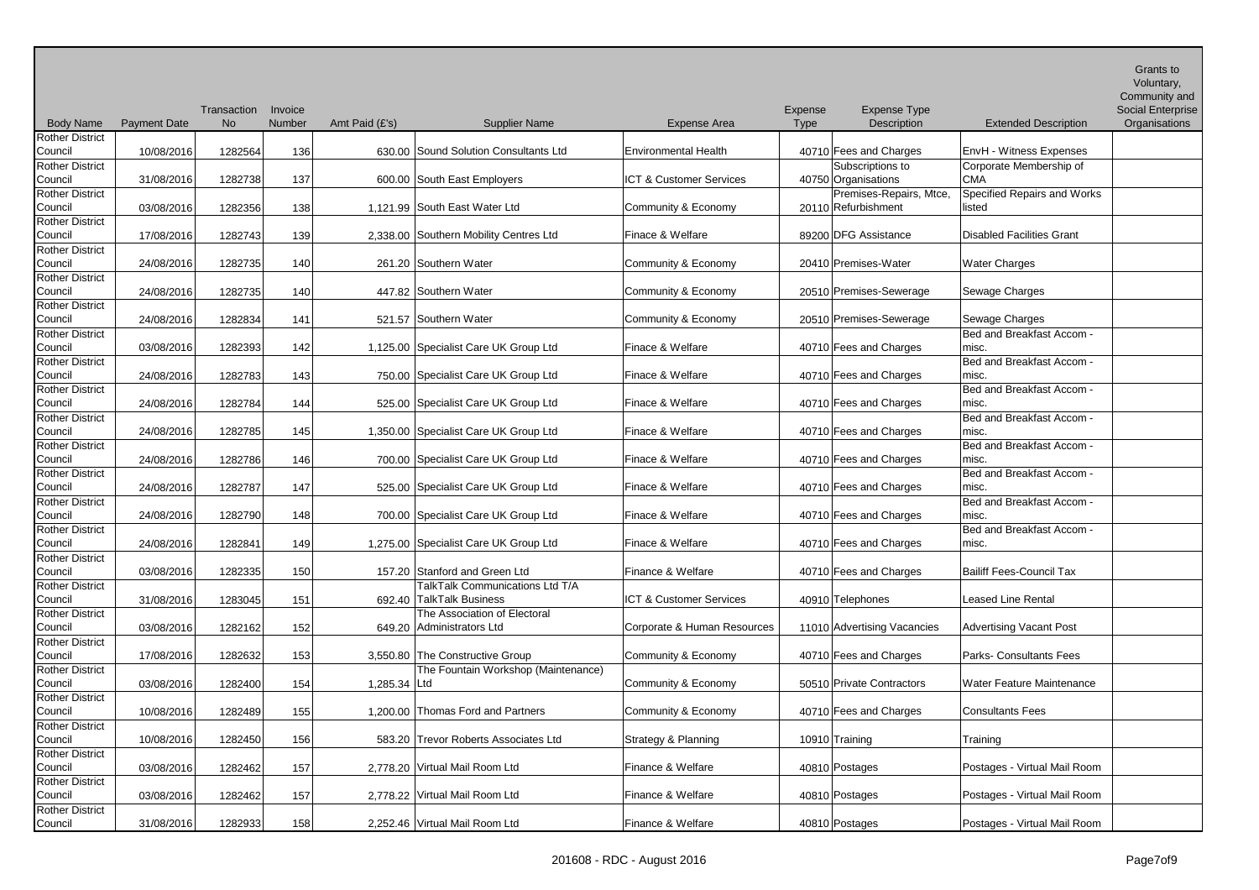| <b>Body Name</b>                  | <b>Payment Date</b> | Transaction<br><b>No</b> | Invoice<br>Number | Amt Paid (£'s) | <b>Supplier Name</b>                   | <b>Expense Area</b>         | Expense<br><b>Type</b> | <b>Expense Type</b><br>Description | <b>Extended Description</b>        | Grants to<br>Voluntary,<br>Community and<br><b>Social Enterprise</b><br>Organisations |
|-----------------------------------|---------------------|--------------------------|-------------------|----------------|----------------------------------------|-----------------------------|------------------------|------------------------------------|------------------------------------|---------------------------------------------------------------------------------------|
| <b>Rother District</b>            |                     |                          |                   |                |                                        |                             |                        |                                    |                                    |                                                                                       |
| Council                           | 10/08/2016          | 1282564                  | 136               |                | 630.00 Sound Solution Consultants Ltd  | <b>Environmental Health</b> |                        | 40710 Fees and Charges             | EnvH - Witness Expenses            |                                                                                       |
| <b>Rother District</b>            |                     |                          |                   |                |                                        |                             |                        | Subscriptions to                   | Corporate Membership of            |                                                                                       |
| Council                           | 31/08/2016          | 1282738                  | 137               |                | 600.00 South East Employers            | ICT & Customer Services     |                        | 40750 Organisations                | <b>CMA</b>                         |                                                                                       |
| <b>Rother District</b>            |                     |                          |                   |                |                                        |                             |                        | Premises-Repairs, Mtce,            | Specified Repairs and Works        |                                                                                       |
| Council                           | 03/08/2016          | 1282356                  | 138               |                | 1,121.99 South East Water Ltd          | Community & Economy         |                        | 20110 Refurbishment                | listed                             |                                                                                       |
| <b>Rother District</b><br>Council | 17/08/2016          | 1282743                  | 139               |                | 2,338.00 Southern Mobility Centres Ltd | Finace & Welfare            |                        | 89200 DFG Assistance               | <b>Disabled Facilities Grant</b>   |                                                                                       |
| <b>Rother District</b>            |                     |                          |                   |                |                                        |                             |                        |                                    |                                    |                                                                                       |
| Council                           | 24/08/2016          | 1282735                  | 140               |                | 261.20 Southern Water                  | Community & Economy         |                        | 20410 Premises-Water               | <b>Water Charges</b>               |                                                                                       |
| <b>Rother District</b>            |                     |                          |                   |                |                                        |                             |                        |                                    |                                    |                                                                                       |
| Council                           | 24/08/2016          | 1282735                  | 140               |                | 447.82 Southern Water                  | Community & Economy         |                        | 20510 Premises-Sewerage            | Sewage Charges                     |                                                                                       |
| <b>Rother District</b>            |                     |                          |                   |                |                                        |                             |                        |                                    |                                    |                                                                                       |
| Council                           | 24/08/2016          | 1282834                  | 141               |                | 521.57 Southern Water                  | Community & Economy         |                        | 20510 Premises-Sewerage            | Sewage Charges                     |                                                                                       |
| <b>Rother District</b>            |                     |                          |                   |                |                                        |                             |                        |                                    | Bed and Breakfast Accom -          |                                                                                       |
| Council                           | 03/08/2016          | 1282393                  | 142               |                | 1,125.00 Specialist Care UK Group Ltd  | Finace & Welfare            |                        | 40710 Fees and Charges             | misc.                              |                                                                                       |
| <b>Rother District</b>            |                     |                          |                   |                |                                        |                             |                        |                                    | Bed and Breakfast Accom -          |                                                                                       |
| Council                           | 24/08/2016          | 1282783                  | 143               |                | 750.00 Specialist Care UK Group Ltd    | Finace & Welfare            |                        | 40710 Fees and Charges             | misc.                              |                                                                                       |
| <b>Rother District</b>            |                     |                          |                   |                |                                        |                             |                        |                                    | Bed and Breakfast Accom -          |                                                                                       |
| Council                           | 24/08/2016          | 1282784                  | 144               |                | 525.00 Specialist Care UK Group Ltd    | Finace & Welfare            |                        | 40710 Fees and Charges             | misc.                              |                                                                                       |
| <b>Rother District</b>            |                     |                          |                   |                |                                        |                             |                        |                                    | Bed and Breakfast Accom -          |                                                                                       |
| Council                           | 24/08/2016          | 1282785                  | 145               |                | 1,350.00 Specialist Care UK Group Ltd  | Finace & Welfare            |                        | 40710 Fees and Charges             | misc.                              |                                                                                       |
| <b>Rother District</b>            |                     |                          |                   |                |                                        |                             |                        |                                    | Bed and Breakfast Accom -          |                                                                                       |
| Council                           | 24/08/2016          | 1282786                  | 146               |                | 700.00 Specialist Care UK Group Ltd    | Finace & Welfare            |                        | 40710 Fees and Charges             | misc.                              |                                                                                       |
| <b>Rother District</b>            |                     |                          |                   |                |                                        |                             |                        |                                    | Bed and Breakfast Accom -          |                                                                                       |
| Council                           | 24/08/2016          | 1282787                  | 147               |                | 525.00 Specialist Care UK Group Ltd    | Finace & Welfare            |                        | 40710 Fees and Charges             | misc.<br>Bed and Breakfast Accom - |                                                                                       |
| <b>Rother District</b><br>Council | 24/08/2016          | 1282790                  | 148               |                | 700.00 Specialist Care UK Group Ltd    | Finace & Welfare            |                        | 40710 Fees and Charges             | misc.                              |                                                                                       |
| <b>Rother District</b>            |                     |                          |                   |                |                                        |                             |                        |                                    | Bed and Breakfast Accom -          |                                                                                       |
| Council                           | 24/08/2016          | 1282841                  | 149               |                | 1,275.00 Specialist Care UK Group Ltd  | Finace & Welfare            |                        | 40710 Fees and Charges             | misc.                              |                                                                                       |
| <b>Rother District</b>            |                     |                          |                   |                |                                        |                             |                        |                                    |                                    |                                                                                       |
| Council                           | 03/08/2016          | 1282335                  | 150               |                | 157.20 Stanford and Green Ltd          | Finance & Welfare           |                        | 40710 Fees and Charges             | <b>Bailiff Fees-Council Tax</b>    |                                                                                       |
| <b>Rother District</b>            |                     |                          |                   |                | TalkTalk Communications Ltd T/A        |                             |                        |                                    |                                    |                                                                                       |
| Council                           | 31/08/2016          | 1283045                  | 151               |                | 692.40   I alk I alk Business          | ICT & Customer Services     |                        | 40910 Telephones                   | Leased Line Rental                 |                                                                                       |
| <b>Rother District</b>            |                     |                          |                   |                | The Association of Electoral           |                             |                        |                                    |                                    |                                                                                       |
| Council                           | 03/08/2016          | 1282162                  | 152               |                | 649.20 Administrators Ltd              | Corporate & Human Resources |                        | 11010 Advertising Vacancies        | <b>Advertising Vacant Post</b>     |                                                                                       |
| <b>Rother District</b>            |                     |                          |                   |                |                                        |                             |                        |                                    |                                    |                                                                                       |
| Council                           | 17/08/2016          | 1282632                  | 153               |                | 3,550.80 The Constructive Group        | Community & Economy         |                        | 40710 Fees and Charges             | Parks- Consultants Fees            |                                                                                       |
| <b>Rother District</b>            |                     |                          |                   |                | The Fountain Workshop (Maintenance)    |                             |                        |                                    |                                    |                                                                                       |
| Council                           | 03/08/2016          | 1282400                  | 154               | 1,285.34 Ltd   |                                        | Community & Economy         |                        | 50510 Private Contractors          | Water Feature Maintenance          |                                                                                       |
| <b>Rother District</b>            |                     |                          |                   |                |                                        |                             |                        |                                    |                                    |                                                                                       |
| Council                           | 10/08/2016          | 1282489                  | 155               |                | 1,200.00 Thomas Ford and Partners      | Community & Economy         |                        | 40710 Fees and Charges             | <b>Consultants Fees</b>            |                                                                                       |
| <b>Rother District</b>            |                     |                          |                   |                | 583.20 Trevor Roberts Associates Ltd   |                             |                        |                                    |                                    |                                                                                       |
| Council<br><b>Rother District</b> | 10/08/2016          | 1282450                  | 156               |                |                                        | Strategy & Planning         |                        | 10910 Training                     | Training                           |                                                                                       |
| Council                           | 03/08/2016          | 1282462                  | 157               |                | 2,778.20 Virtual Mail Room Ltd         | Finance & Welfare           |                        | 40810 Postages                     | Postages - Virtual Mail Room       |                                                                                       |
| <b>Rother District</b>            |                     |                          |                   |                |                                        |                             |                        |                                    |                                    |                                                                                       |
| Council                           | 03/08/2016          | 1282462                  | 157               |                | 2,778.22 Virtual Mail Room Ltd         | Finance & Welfare           |                        | 40810 Postages                     | Postages - Virtual Mail Room       |                                                                                       |
| <b>Rother District</b>            |                     |                          |                   |                |                                        |                             |                        |                                    |                                    |                                                                                       |
| Council                           | 31/08/2016          | 1282933                  | 158               |                | 2,252.46 Virtual Mail Room Ltd         | Finance & Welfare           |                        | 40810 Postages                     | Postages - Virtual Mail Room       |                                                                                       |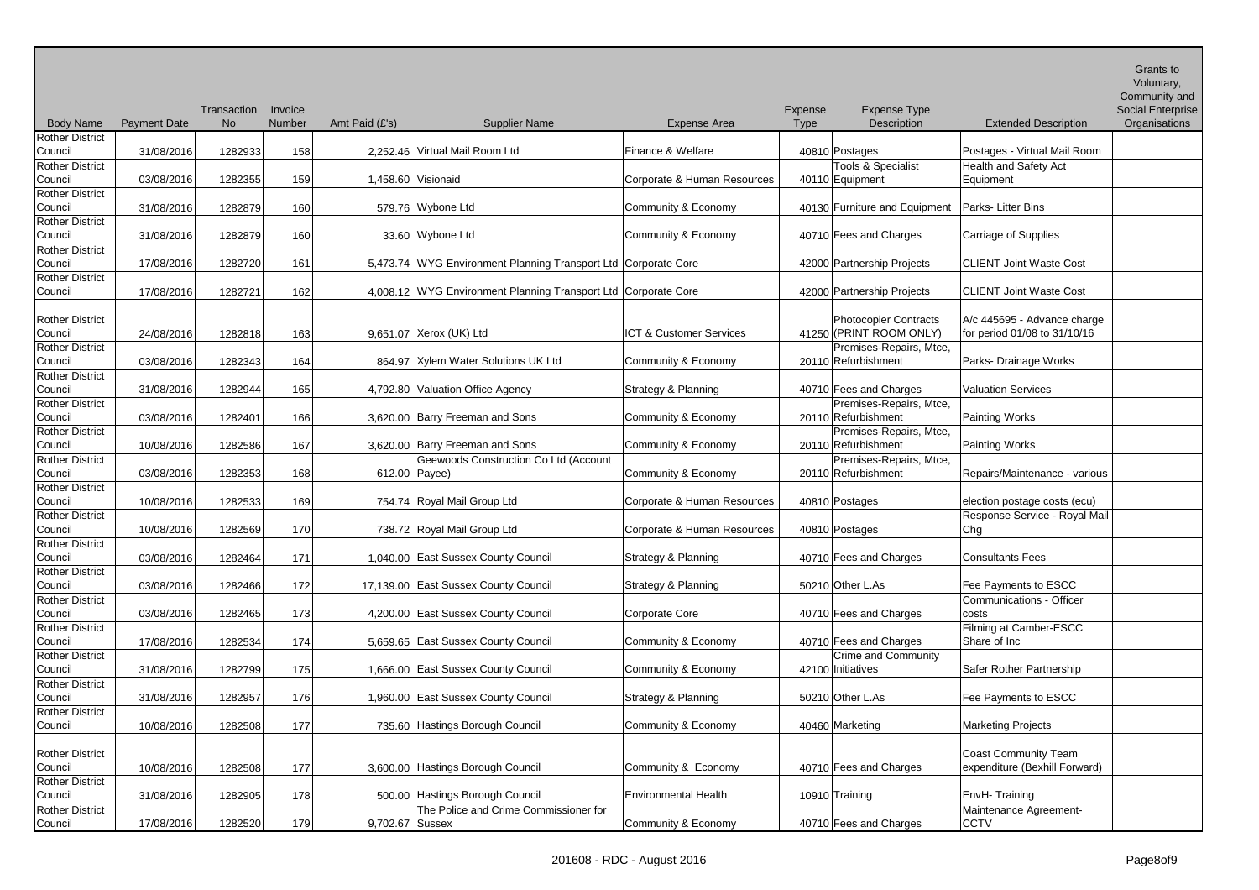|                                   |                     |             |         |                 |                                                                |                             |                    |                               |                                                  | Grants to<br>Voluntary, |
|-----------------------------------|---------------------|-------------|---------|-----------------|----------------------------------------------------------------|-----------------------------|--------------------|-------------------------------|--------------------------------------------------|-------------------------|
|                                   |                     |             |         |                 |                                                                |                             |                    |                               |                                                  | Community and           |
|                                   |                     | Transaction | Invoice |                 |                                                                |                             | Expense            | <b>Expense Type</b>           |                                                  | Social Enterprise       |
| <b>Body Name</b>                  | <b>Payment Date</b> | <b>No</b>   | Number  | Amt Paid (£'s)  | <b>Supplier Name</b>                                           | <b>Expense Area</b>         | <b>Type</b>        | Description                   | <b>Extended Description</b>                      | Organisations           |
| <b>Rother District</b><br>Council | 31/08/2016          | 1282933     | 158     |                 | 2,252.46 Virtual Mail Room Ltd                                 | Finance & Welfare           | 40810 Postages     |                               | Postages - Virtual Mail Room                     |                         |
| <b>Rother District</b>            |                     |             |         |                 |                                                                |                             |                    | <b>Tools &amp; Specialist</b> | Health and Safety Act                            |                         |
| Council                           | 03/08/2016          | 1282355     | 159     |                 | 1,458.60 Visionaid                                             | Corporate & Human Resources | 40110 Equipment    |                               | Equipment                                        |                         |
| <b>Rother District</b>            |                     |             |         |                 |                                                                |                             |                    |                               |                                                  |                         |
| Council                           | 31/08/2016          | 1282879     | 160     |                 | 579.76 Wybone Ltd                                              | Community & Economy         |                    | 40130 Furniture and Equipment | Parks-Litter Bins                                |                         |
| <b>Rother District</b>            |                     |             |         |                 |                                                                |                             |                    |                               |                                                  |                         |
| Council                           | 31/08/2016          | 1282879     | 160     |                 | 33.60 Wybone Ltd                                               | Community & Economy         |                    | 40710 Fees and Charges        | Carriage of Supplies                             |                         |
| <b>Rother District</b>            |                     |             |         |                 |                                                                |                             |                    |                               |                                                  |                         |
| Council                           | 17/08/2016          | 1282720     | 161     |                 | 5,473.74 WYG Environment Planning Transport Ltd Corporate Core |                             |                    | 42000 Partnership Projects    | <b>CLIENT Joint Waste Cost</b>                   |                         |
| <b>Rother District</b>            |                     |             |         |                 |                                                                |                             |                    |                               |                                                  |                         |
| Council                           | 17/08/2016          | 1282721     | 162     |                 | 4,008.12 WYG Environment Planning Transport Ltd Corporate Core |                             |                    | 42000 Partnership Projects    | <b>CLIENT Joint Waste Cost</b>                   |                         |
| <b>Rother District</b>            |                     |             |         |                 |                                                                |                             |                    | Photocopier Contracts         | A/c 445695 - Advance charge                      |                         |
| Council                           | 24/08/2016          | 1282818     | 163     |                 | 9,651.07 Xerox (UK) Ltd                                        | ICT & Customer Services     |                    | 41250 (PRINT ROOM ONLY)       | for period 01/08 to 31/10/16                     |                         |
| <b>Rother District</b>            |                     |             |         |                 |                                                                |                             |                    | Premises-Repairs, Mtce,       |                                                  |                         |
| Council                           | 03/08/2016          | 1282343     | 164     |                 | 864.97 Xylem Water Solutions UK Ltd                            | Community & Economy         |                    | 20110 Refurbishment           | Parks- Drainage Works                            |                         |
| <b>Rother District</b>            |                     |             |         |                 |                                                                |                             |                    |                               |                                                  |                         |
| Council                           | 31/08/2016          | 1282944     | 165     |                 | 4,792.80 Valuation Office Agency                               | Strategy & Planning         |                    | 40710 Fees and Charges        | <b>Valuation Services</b>                        |                         |
| <b>Rother District</b>            |                     |             |         |                 |                                                                |                             |                    | Premises-Repairs, Mtce,       |                                                  |                         |
| Council                           | 03/08/2016          | 1282401     | 166     |                 | 3,620.00 Barry Freeman and Sons                                | Community & Economy         |                    | 20110 Refurbishment           | Painting Works                                   |                         |
| <b>Rother District</b>            |                     |             |         |                 |                                                                |                             |                    | Premises-Repairs, Mtce,       |                                                  |                         |
| Council                           | 10/08/2016          | 1282586     | 167     |                 | 3,620.00 Barry Freeman and Sons                                | Community & Economy         |                    | 20110 Refurbishment           | Painting Works                                   |                         |
| <b>Rother District</b>            |                     |             |         |                 | Geewoods Construction Co Ltd (Account                          |                             |                    | Premises-Repairs, Mtce,       |                                                  |                         |
| Council                           | 03/08/2016          | 1282353     | 168     | 612.00 Payee)   |                                                                | Community & Economy         |                    | 20110 Refurbishment           | Repairs/Maintenance - various                    |                         |
| <b>Rother District</b>            |                     |             |         |                 |                                                                |                             |                    |                               |                                                  |                         |
| Council                           | 10/08/2016          | 1282533     | 169     |                 | 754.74 Royal Mail Group Ltd                                    | Corporate & Human Resources | 40810 Postages     |                               | election postage costs (ecu)                     |                         |
| <b>Rother District</b>            |                     |             |         |                 |                                                                |                             |                    |                               | Response Service - Royal Mail                    |                         |
| Council                           | 10/08/2016          | 1282569     | 170     |                 | 738.72 Royal Mail Group Ltd                                    | Corporate & Human Resources | 40810 Postages     |                               | Chg                                              |                         |
| <b>Rother District</b>            |                     |             |         |                 |                                                                |                             |                    |                               |                                                  |                         |
| Council                           | 03/08/2016          | 1282464     | 171     |                 | 1,040.00 East Sussex County Council                            | Strategy & Planning         |                    | 40710 Fees and Charges        | <b>Consultants Fees</b>                          |                         |
| <b>Rother District</b>            |                     |             |         |                 |                                                                |                             |                    |                               |                                                  |                         |
| Council<br><b>Rother District</b> | 03/08/2016          | 1282466     | 172     |                 | 17,139.00 East Sussex County Council                           | Strategy & Planning         | 50210 Other L.As   |                               | Fee Payments to ESCC<br>Communications - Officer |                         |
| Council                           | 03/08/2016          | 1282465     | 173     |                 | 4,200.00 East Sussex County Council                            | Corporate Core              |                    | 40710 Fees and Charges        | costs                                            |                         |
| <b>Rother District</b>            |                     |             |         |                 |                                                                |                             |                    |                               | Filming at Camber-ESCC                           |                         |
| Council                           | 17/08/2016          | 1282534     | 174     |                 | 5,659.65 East Sussex County Council                            | Community & Economy         |                    | 40710 Fees and Charges        | Share of Inc                                     |                         |
| <b>Rother District</b>            |                     |             |         |                 |                                                                |                             |                    | Crime and Community           |                                                  |                         |
| Council                           | 31/08/2016          | 1282799     | 175     |                 | 1,666.00 East Sussex County Council                            | Community & Economy         | 42100 Initiatives  |                               | Safer Rother Partnership                         |                         |
| <b>Rother District</b>            |                     |             |         |                 |                                                                |                             |                    |                               |                                                  |                         |
| Council                           | 31/08/2016          | 1282957     | 176     |                 | 1,960.00 East Sussex County Council                            | Strategy & Planning         | $50210$ Other L.As |                               | Fee Payments to ESCC                             |                         |
| <b>Rother District</b>            |                     |             |         |                 |                                                                |                             |                    |                               |                                                  |                         |
| Council                           | 10/08/2016          | 1282508     | 177     |                 | 735.60 Hastings Borough Council                                | Community & Economy         | 40460 Marketing    |                               | <b>Marketing Projects</b>                        |                         |
|                                   |                     |             |         |                 |                                                                |                             |                    |                               |                                                  |                         |
| <b>Rother District</b>            |                     |             |         |                 |                                                                |                             |                    |                               | Coast Community Team                             |                         |
| Council                           | 10/08/2016          | 1282508     | 177     |                 | 3,600.00 Hastings Borough Council                              | Community & Economy         |                    | 40710 Fees and Charges        | expenditure (Bexhill Forward)                    |                         |
| <b>Rother District</b>            |                     |             |         |                 |                                                                |                             |                    |                               |                                                  |                         |
| Council                           | 31/08/2016          | 1282905     | 178     |                 | 500.00 Hastings Borough Council                                | Environmental Health        | 10910 Training     |                               | EnvH-Training                                    |                         |
| <b>Rother District</b>            |                     |             |         |                 | The Police and Crime Commissioner for                          |                             |                    |                               | Maintenance Agreement-                           |                         |
| Council                           | 17/08/2016          | 1282520     | 179     | 9,702.67 Sussex |                                                                | Community & Economy         |                    | 40710 Fees and Charges        | <b>CCTV</b>                                      |                         |